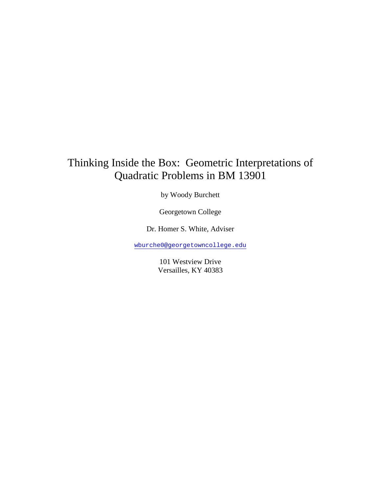## Thinking Inside the Box: Geometric Interpretations of Quadratic Problems in BM 13901

by Woody Burchett

Georgetown College

Dr. Homer S. White, Adviser

wburche0@georgetowncollege.edu

101 Westview Drive Versailles, KY 40383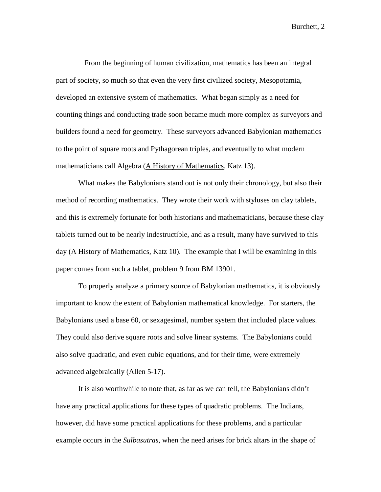From the beginning of human civilization, mathematics has been an integral part of society, so much so that even the very first civilized society, Mesopotamia, developed an extensive system of mathematics. What began simply as a need for counting things and conducting trade soon became much more complex as surveyors and builders found a need for geometry. These surveyors advanced Babylonian mathematics to the point of square roots and Pythagorean triples, and eventually to what modern mathematicians call Algebra (A History of Mathematics, Katz 13).

What makes the Babylonians stand out is not only their chronology, but also their method of recording mathematics. They wrote their work with styluses on clay tablets, and this is extremely fortunate for both historians and mathematicians, because these clay tablets turned out to be nearly indestructible, and as a result, many have survived to this day (A History of Mathematics, Katz 10). The example that I will be examining in this paper comes from such a tablet, problem 9 from BM 13901.

To properly analyze a primary source of Babylonian mathematics, it is obviously important to know the extent of Babylonian mathematical knowledge. For starters, the Babylonians used a base 60, or sexagesimal, number system that included place values. They could also derive square roots and solve linear systems. The Babylonians could also solve quadratic, and even cubic equations, and for their time, were extremely advanced algebraically (Allen 5-17).

It is also worthwhile to note that, as far as we can tell, the Babylonians didn't have any practical applications for these types of quadratic problems. The Indians, however, did have some practical applications for these problems, and a particular example occurs in the *Sulbasutras*, when the need arises for brick altars in the shape of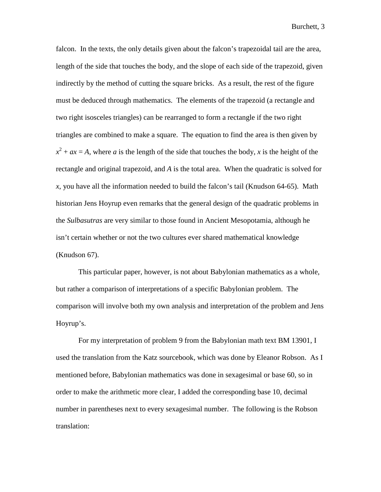falcon. In the texts, the only details given about the falcon's trapezoidal tail are the area, length of the side that touches the body, and the slope of each side of the trapezoid, given indirectly by the method of cutting the square bricks. As a result, the rest of the figure must be deduced through mathematics. The elements of the trapezoid (a rectangle and two right isosceles triangles) can be rearranged to form a rectangle if the two right triangles are combined to make a square. The equation to find the area is then given by  $x^2 + ax = A$ , where *a* is the length of the side that touches the body, *x* is the height of the rectangle and original trapezoid, and *A* is the total area. When the quadratic is solved for *x*, you have all the information needed to build the falcon's tail (Knudson 64-65). Math historian Jens Hoyrup even remarks that the general design of the quadratic problems in the *Sulbasutras* are very similar to those found in Ancient Mesopotamia, although he isn't certain whether or not the two cultures ever shared mathematical knowledge (Knudson 67).

This particular paper, however, is not about Babylonian mathematics as a whole, but rather a comparison of interpretations of a specific Babylonian problem. The comparison will involve both my own analysis and interpretation of the problem and Jens Hoyrup's.

For my interpretation of problem 9 from the Babylonian math text BM 13901, I used the translation from the Katz sourcebook, which was done by Eleanor Robson. As I mentioned before, Babylonian mathematics was done in sexagesimal or base 60, so in order to make the arithmetic more clear, I added the corresponding base 10, decimal number in parentheses next to every sexagesimal number. The following is the Robson translation: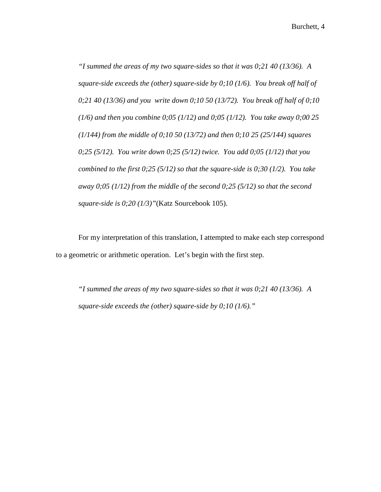*"I summed the areas of my two square-sides so that it was 0;21 40 (13/36). A square-side exceeds the (other) square-side by 0;10 (1/6). You break off half of 0;21 40 (13/36) and you write down 0;10 50 (13/72). You break off half of 0;10 (1/6) and then you combine 0;05 (1/12) and 0;05 (1/12). You take away 0;00 25 (1/144) from the middle of 0;10 50 (13/72) and then 0;10 25 (25/144) squares 0;25 (5/12). You write down 0;25 (5/12) twice. You add 0;05 (1/12) that you combined to the first 0;25 (5/12) so that the square-side is 0;30 (1/2). You take away 0;05 (1/12) from the middle of the second 0;25 (5/12) so that the second square-side is 0;20 (1/3)"*(Katz Sourcebook 105).

For my interpretation of this translation, I attempted to make each step correspond to a geometric or arithmetic operation. Let's begin with the first step.

*"I summed the areas of my two square-sides so that it was 0;21 40 (13/36). A square-side exceeds the (other) square-side by 0;10 (1/6)."*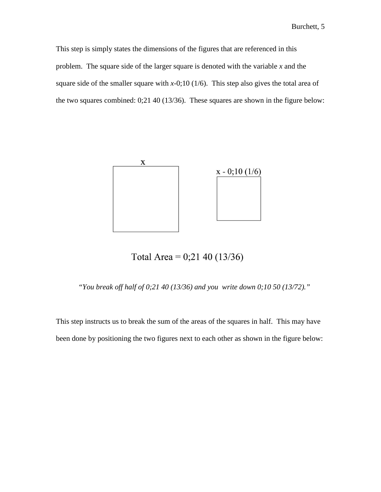This step is simply states the dimensions of the figures that are referenced in this problem. The square side of the larger square is denoted with the variable *x* and the square side of the smaller square with  $x$ -0;10 (1/6). This step also gives the total area of the two squares combined: 0;21 40 (13/36). These squares are shown in the figure below:



Total Area =  $0;21$  40 (13/36)

*"You break off half of 0;21 40 (13/36) and you write down 0;10 50 (13/72)."* 

This step instructs us to break the sum of the areas of the squares in half. This may have been done by positioning the two figures next to each other as shown in the figure below: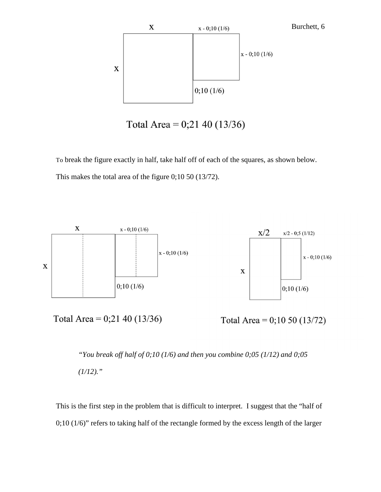

Total Area =  $0;2140(13/36)$ 

To break the figure exactly in half, take half off of each of the squares, as shown below. This makes the total area of the figure 0;10 50 (13/72).



```
"You break off half of 0;10 (1/6) and then you combine 0;05 (1/12) and 0;05 
(1/12)."
```
This is the first step in the problem that is difficult to interpret. I suggest that the "half of 0;10 (1/6)" refers to taking half of the rectangle formed by the excess length of the larger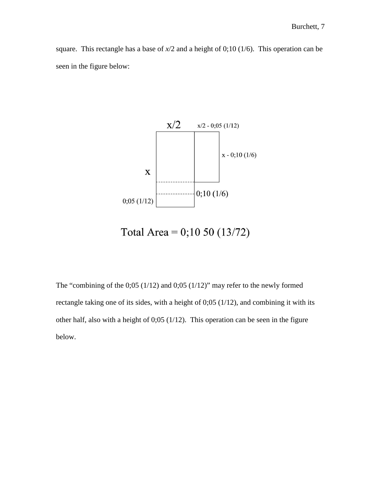square. This rectangle has a base of  $x/2$  and a height of 0;10 (1/6). This operation can be seen in the figure below:



Total Area =  $0;1050(13/72)$ 

The "combining of the 0;05 (1/12) and 0;05 (1/12)" may refer to the newly formed rectangle taking one of its sides, with a height of 0;05 (1/12), and combining it with its other half, also with a height of 0;05 (1/12). This operation can be seen in the figure below.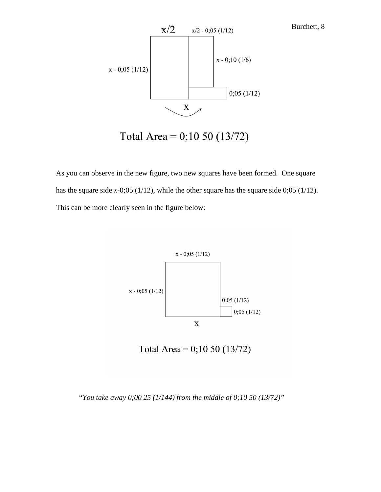

Total Area =  $0;1050(13/72)$ 

As you can observe in the new figure, two new squares have been formed. One square has the square side *x*-0;05 (1/12), while the other square has the square side 0;05 (1/12). This can be more clearly seen in the figure below:



Total Area =  $0;1050(13/72)$ 

*"You take away 0;00 25 (1/144) from the middle of 0;10 50 (13/72)"*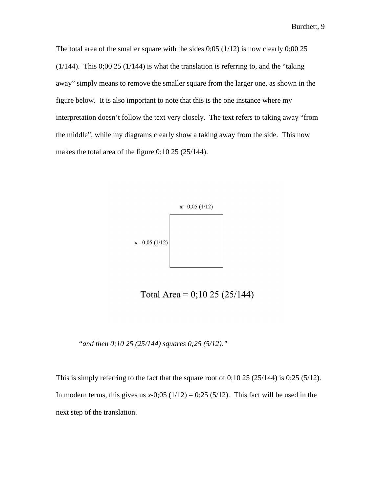The total area of the smaller square with the sides  $0;05 (1/12)$  is now clearly  $0;00 25$  $(1/144)$ . This 0;00 25  $(1/144)$  is what the translation is referring to, and the "taking" away" simply means to remove the smaller square from the larger one, as shown in the figure below. It is also important to note that this is the one instance where my interpretation doesn't follow the text very closely. The text refers to taking away "from the middle", while my diagrams clearly show a taking away from the side. This now makes the total area of the figure 0;10 25 (25/144).



Total Area =  $0;10$  25 (25/144)

*"and then 0;10 25 (25/144) squares 0;25 (5/12)."* 

This is simply referring to the fact that the square root of  $0;10\ 25\ (25/144)$  is  $0;25\ (5/12)$ . In modern terms, this gives us  $x-0;05(1/12) = 0;25(5/12)$ . This fact will be used in the next step of the translation.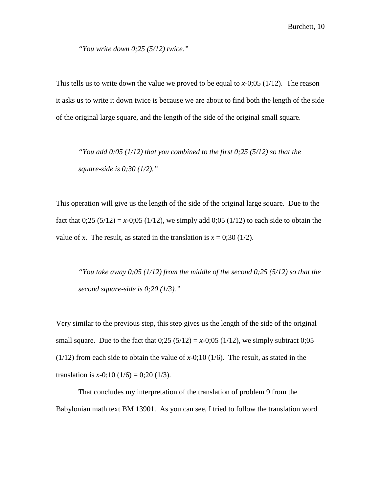*"You write down 0;25 (5/12) twice."* 

This tells us to write down the value we proved to be equal to *x*-0;05 (1/12). The reason it asks us to write it down twice is because we are about to find both the length of the side of the original large square, and the length of the side of the original small square.

*"You add 0;05 (1/12) that you combined to the first 0;25 (5/12) so that the square-side is 0;30 (1/2)."* 

This operation will give us the length of the side of the original large square. Due to the fact that  $0;25 (5/12) = x-0;05 (1/12)$ , we simply add  $0;05 (1/12)$  to each side to obtain the value of *x*. The result, as stated in the translation is  $x = 0.30$  (1/2).

*"You take away 0;05 (1/12) from the middle of the second 0;25 (5/12) so that the second square-side is 0;20 (1/3)."* 

Very similar to the previous step, this step gives us the length of the side of the original small square. Due to the fact that  $0;25 (5/12) = x-0;05 (1/12)$ , we simply subtract  $0;05$ (1/12) from each side to obtain the value of *x*-0;10 (1/6). The result, as stated in the translation is  $x-0$ ;10 (1/6) = 0;20 (1/3).

That concludes my interpretation of the translation of problem 9 from the Babylonian math text BM 13901. As you can see, I tried to follow the translation word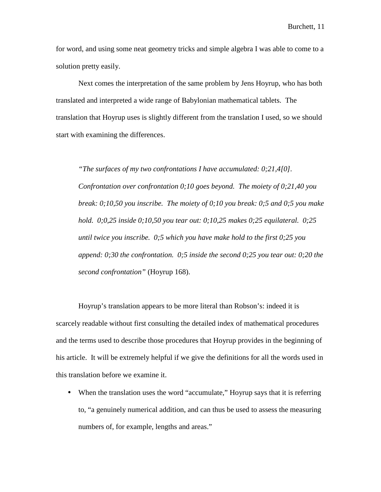for word, and using some neat geometry tricks and simple algebra I was able to come to a solution pretty easily.

Next comes the interpretation of the same problem by Jens Hoyrup, who has both translated and interpreted a wide range of Babylonian mathematical tablets. The translation that Hoyrup uses is slightly different from the translation I used, so we should start with examining the differences.

*"The surfaces of my two confrontations I have accumulated: 0;21,4[0]. Confrontation over confrontation 0;10 goes beyond. The moiety of 0;21,40 you break: 0;10,50 you inscribe. The moiety of 0;10 you break: 0;5 and 0;5 you make hold. 0;0,25 inside 0;10,50 you tear out: 0;10,25 makes 0;25 equilateral. 0;25 until twice you inscribe. 0;5 which you have make hold to the first 0;25 you append: 0;30 the confrontation. 0;5 inside the second 0;25 you tear out: 0;20 the second confrontation"* (Hoyrup 168).

 Hoyrup's translation appears to be more literal than Robson's: indeed it is scarcely readable without first consulting the detailed index of mathematical procedures and the terms used to describe those procedures that Hoyrup provides in the beginning of his article. It will be extremely helpful if we give the definitions for all the words used in this translation before we examine it.

• When the translation uses the word "accumulate," Hoyrup says that it is referring to, "a genuinely numerical addition, and can thus be used to assess the measuring numbers of, for example, lengths and areas."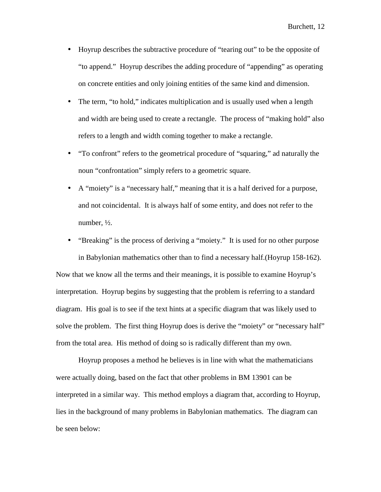- Hoyrup describes the subtractive procedure of "tearing out" to be the opposite of "to append." Hoyrup describes the adding procedure of "appending" as operating on concrete entities and only joining entities of the same kind and dimension.
- The term, "to hold," indicates multiplication and is usually used when a length and width are being used to create a rectangle. The process of "making hold" also refers to a length and width coming together to make a rectangle.
- "To confront" refers to the geometrical procedure of "squaring," ad naturally the noun "confrontation" simply refers to a geometric square.
- A "moiety" is a "necessary half," meaning that it is a half derived for a purpose, and not coincidental. It is always half of some entity, and does not refer to the number, ½.
- "Breaking" is the process of deriving a "moiety." It is used for no other purpose

in Babylonian mathematics other than to find a necessary half.(Hoyrup 158-162). Now that we know all the terms and their meanings, it is possible to examine Hoyrup's interpretation. Hoyrup begins by suggesting that the problem is referring to a standard diagram. His goal is to see if the text hints at a specific diagram that was likely used to solve the problem. The first thing Hoyrup does is derive the "moiety" or "necessary half" from the total area. His method of doing so is radically different than my own.

 Hoyrup proposes a method he believes is in line with what the mathematicians were actually doing, based on the fact that other problems in BM 13901 can be interpreted in a similar way. This method employs a diagram that, according to Hoyrup, lies in the background of many problems in Babylonian mathematics. The diagram can be seen below: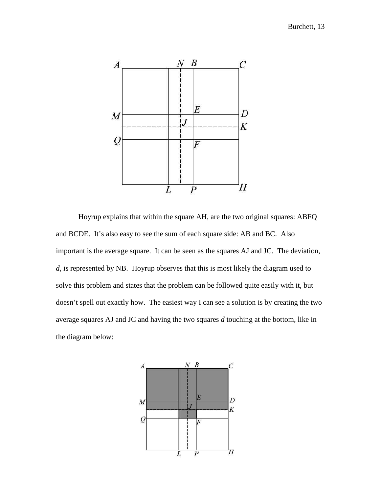

 Hoyrup explains that within the square AH, are the two original squares: ABFQ and BCDE. It's also easy to see the sum of each square side: AB and BC. Also important is the average square. It can be seen as the squares AJ and JC. The deviation, *d*, is represented by NB. Hoyrup observes that this is most likely the diagram used to solve this problem and states that the problem can be followed quite easily with it, but doesn't spell out exactly how. The easiest way I can see a solution is by creating the two average squares AJ and JC and having the two squares *d* touching at the bottom, like in the diagram below:

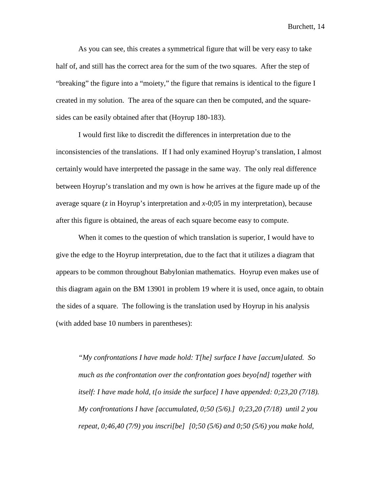As you can see, this creates a symmetrical figure that will be very easy to take half of, and still has the correct area for the sum of the two squares. After the step of "breaking" the figure into a "moiety," the figure that remains is identical to the figure I created in my solution. The area of the square can then be computed, and the squaresides can be easily obtained after that (Hoyrup 180-183).

 I would first like to discredit the differences in interpretation due to the inconsistencies of the translations. If I had only examined Hoyrup's translation, I almost certainly would have interpreted the passage in the same way. The only real difference between Hoyrup's translation and my own is how he arrives at the figure made up of the average square (*z* in Hoyrup's interpretation and *x*-0;05 in my interpretation), because after this figure is obtained, the areas of each square become easy to compute.

When it comes to the question of which translation is superior, I would have to give the edge to the Hoyrup interpretation, due to the fact that it utilizes a diagram that appears to be common throughout Babylonian mathematics. Hoyrup even makes use of this diagram again on the BM 13901 in problem 19 where it is used, once again, to obtain the sides of a square. The following is the translation used by Hoyrup in his analysis (with added base 10 numbers in parentheses):

*"My confrontations I have made hold: T[he] surface I have [accum]ulated. So much as the confrontation over the confrontation goes beyo[nd] together with itself: I have made hold, t[o inside the surface] I have appended: 0;23,20 (7/18). My confrontations I have [accumulated, 0;50 (5/6).] 0;23,20 (7/18) until 2 you repeat, 0;46,40 (7/9) you inscri[be] [0;50 (5/6) and 0;50 (5/6) you make hold,*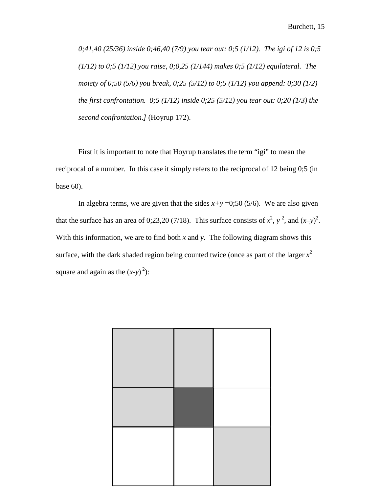*0;41,40 (25/36) inside 0;46,40 (7/9) you tear out: 0;5 (1/12). The igi of 12 is 0;5 (1/12) to 0;5 (1/12) you raise, 0;0,25 (1/144) makes 0;5 (1/12) equilateral. The moiety of 0;50 (5/6) you break, 0;25 (5/12) to 0;5 (1/12) you append: 0;30 (1/2) the first confrontation. 0;5 (1/12) inside 0;25 (5/12) you tear out: 0;20 (1/3) the second confrontation.]* (Hoyrup 172).

First it is important to note that Hoyrup translates the term "igi" to mean the reciprocal of a number. In this case it simply refers to the reciprocal of 12 being 0;5 (in base 60).

In algebra terms, we are given that the sides  $x+y = 0;50$  (5/6). We are also given that the surface has an area of 0;23,20 (7/18). This surface consists of  $x^2$ ,  $y^2$ , and  $(x-y)^2$ . With this information, we are to find both  $x$  and  $y$ . The following diagram shows this surface, with the dark shaded region being counted twice (once as part of the larger  $x^2$ square and again as the  $(x-y)^2$ :

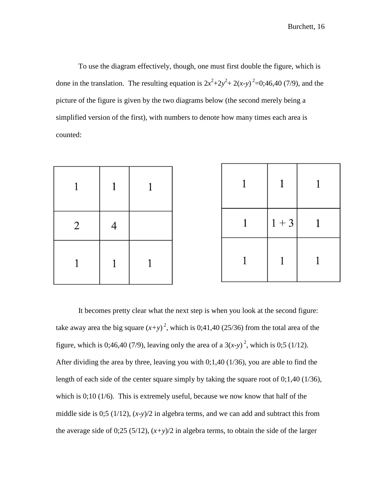To use the diagram effectively, though, one must first double the figure, which is done in the translation. The resulting equation is  $2x^2+2y^2+2(x-y)^2=0;46,40(7/9)$ , and the picture of the figure is given by the two diagrams below (the second merely being a simplified version of the first), with numbers to denote how many times each area is counted:

|                | 1 |  |              |           |  |
|----------------|---|--|--------------|-----------|--|
| $\overline{2}$ |   |  | $\mathbf{1}$ | $ 1 + 3 $ |  |
|                |   |  |              |           |  |

It becomes pretty clear what the next step is when you look at the second figure: take away area the big square  $(x+y)^2$ , which is 0;41,40 (25/36) from the total area of the figure, which is 0;46,40 (7/9), leaving only the area of a  $3(x-y)^2$ , which is 0;5 (1/12). After dividing the area by three, leaving you with 0;1,40 (1/36), you are able to find the length of each side of the center square simply by taking the square root of 0;1,40 (1/36), which is 0;10 (1/6). This is extremely useful, because we now know that half of the middle side is 0;5 (1/12), (*x-y*)/2 in algebra terms, and we can add and subtract this from the average side of 0;25 (5/12),  $(x+y)/2$  in algebra terms, to obtain the side of the larger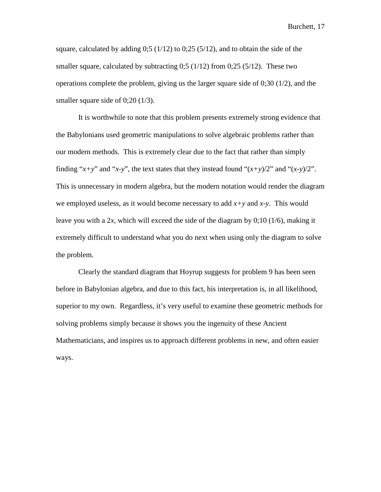square, calculated by adding  $0.5 (1/12)$  to  $0.25 (5/12)$ , and to obtain the side of the smaller square, calculated by subtracting  $0;5 (1/12)$  from  $0;25 (5/12)$ . These two operations complete the problem, giving us the larger square side of  $0;30 \ (1/2)$ , and the smaller square side of 0;20 (1/3).

It is worthwhile to note that this problem presents extremely strong evidence that the Babylonians used geometric manipulations to solve algebraic problems rather than our modern methods. This is extremely clear due to the fact that rather than simply finding " $x+y$ " and " $x-y$ ", the text states that they instead found " $(x+y)/2$ " and " $(x-y)/2$ ". This is unnecessary in modern algebra, but the modern notation would render the diagram we employed useless, as it would become necessary to add *x+y* and *x-y*. This would leave you with a 2*x*, which will exceed the side of the diagram by  $0;10 \ (1/6)$ , making it extremely difficult to understand what you do next when using only the diagram to solve the problem.

Clearly the standard diagram that Hoyrup suggests for problem 9 has been seen before in Babylonian algebra, and due to this fact, his interpretation is, in all likelihood, superior to my own. Regardless, it's very useful to examine these geometric methods for solving problems simply because it shows you the ingenuity of these Ancient Mathematicians, and inspires us to approach different problems in new, and often easier ways.